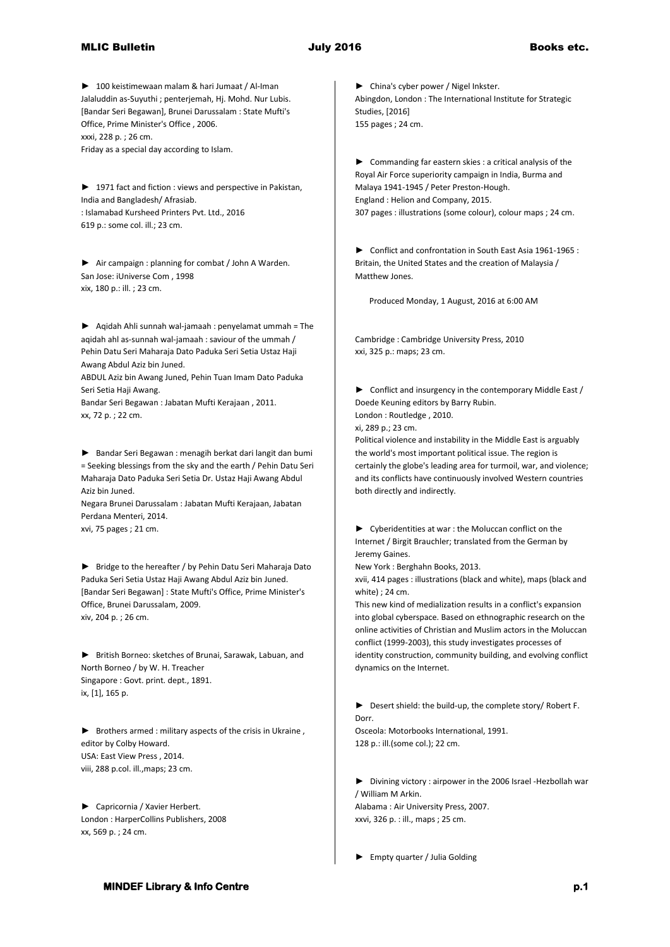## MLIC Bulletin **Books** etc. **July 2016** Books etc.

► 100 keistimewaan malam & hari Jumaat / Al-Iman Jalaluddin as-Suyuthi ; penterjemah, Hj. Mohd. Nur Lubis. [Bandar Seri Begawan], Brunei Darussalam : State Mufti's Office, Prime Minister's Office , 2006. xxxi, 228 p. ; 26 cm. Friday as a special day according to Islam.

► 1971 fact and fiction : views and perspective in Pakistan, India and Bangladesh/ Afrasiab. : Islamabad Kursheed Printers Pvt. Ltd., 2016 619 p.: some col. ill.; 23 cm.

► Air campaign : planning for combat / John A Warden. San Jose: iUniverse Com , 1998 xix, 180 p.: ill. ; 23 cm.

► Aqidah Ahli sunnah wal-jamaah : penyelamat ummah = The aqidah ahl as-sunnah wal-jamaah : saviour of the ummah / Pehin Datu Seri Maharaja Dato Paduka Seri Setia Ustaz Haji Awang Abdul Aziz bin Juned.

ABDUL Aziz bin Awang Juned, Pehin Tuan Imam Dato Paduka Seri Setia Haji Awang.

Bandar Seri Begawan : Jabatan Mufti Kerajaan , 2011. xx, 72 p. ; 22 cm.

► Bandar Seri Begawan : menagih berkat dari langit dan bumi = Seeking blessings from the sky and the earth / Pehin Datu Seri Maharaja Dato Paduka Seri Setia Dr. Ustaz Haji Awang Abdul Aziz bin Juned.

Negara Brunei Darussalam : Jabatan Mufti Kerajaan, Jabatan Perdana Menteri, 2014. xvi, 75 pages ; 21 cm.

► Bridge to the hereafter / by Pehin Datu Seri Maharaja Dato Paduka Seri Setia Ustaz Haji Awang Abdul Aziz bin Juned. [Bandar Seri Begawan] : State Mufti's Office, Prime Minister's Office, Brunei Darussalam, 2009. xiv, 204 p. ; 26 cm.

► British Borneo: sketches of Brunai, Sarawak, Labuan, and North Borneo / by W. H. Treacher Singapore : Govt. print. dept., 1891. ix, [1], 165 p.

► Brothers armed : military aspects of the crisis in Ukraine , editor by Colby Howard. USA: East View Press , 2014. viii, 288 p.col. ill.,maps; 23 cm.

► Capricornia / Xavier Herbert. London : HarperCollins Publishers, 2008 xx, 569 p. ; 24 cm.

► China's cyber power / Nigel Inkster. Abingdon, London : The International Institute for Strategic Studies, [2016] 155 pages ; 24 cm.

► Commanding far eastern skies : a critical analysis of the Royal Air Force superiority campaign in India, Burma and Malaya 1941-1945 / Peter Preston-Hough. England : Helion and Company, 2015. 307 pages : illustrations (some colour), colour maps ; 24 cm.

► Conflict and confrontation in South East Asia 1961-1965 : Britain, the United States and the creation of Malaysia / Matthew Jones.

Produced Monday, 1 August, 2016 at 6:00 AM

Cambridge : Cambridge University Press, 2010 xxi, 325 p.: maps; 23 cm.

► Conflict and insurgency in the contemporary Middle East / Doede Keuning editors by Barry Rubin. London : Routledge , 2010.

xi, 289 p.; 23 cm.

Political violence and instability in the Middle East is arguably the world's most important political issue. The region is certainly the globe's leading area for turmoil, war, and violence; and its conflicts have continuously involved Western countries both directly and indirectly.

► Cyberidentities at war : the Moluccan conflict on the Internet / Birgit Brauchler; translated from the German by Jeremy Gaines.

New York : Berghahn Books, 2013.

xvii, 414 pages : illustrations (black and white), maps (black and white) ; 24 cm.

This new kind of medialization results in a conflict's expansion into global cyberspace. Based on ethnographic research on the online activities of Christian and Muslim actors in the Moluccan conflict (1999-2003), this study investigates processes of identity construction, community building, and evolving conflict dynamics on the Internet.

► Desert shield: the build-up, the complete story/ Robert F. Dorr. Osceola: Motorbooks International, 1991. 128 p.: ill.(some col.); 22 cm.

► Divining victory : airpower in the 2006 Israel -Hezbollah war / William M Arkin. Alabama : Air University Press, 2007. xxvi, 326 p. : ill., maps ; 25 cm.

► Empty quarter / Julia Golding

## **MINDEF Library & Info Centre p.1** *p.1* **<b>p.1** *p.1*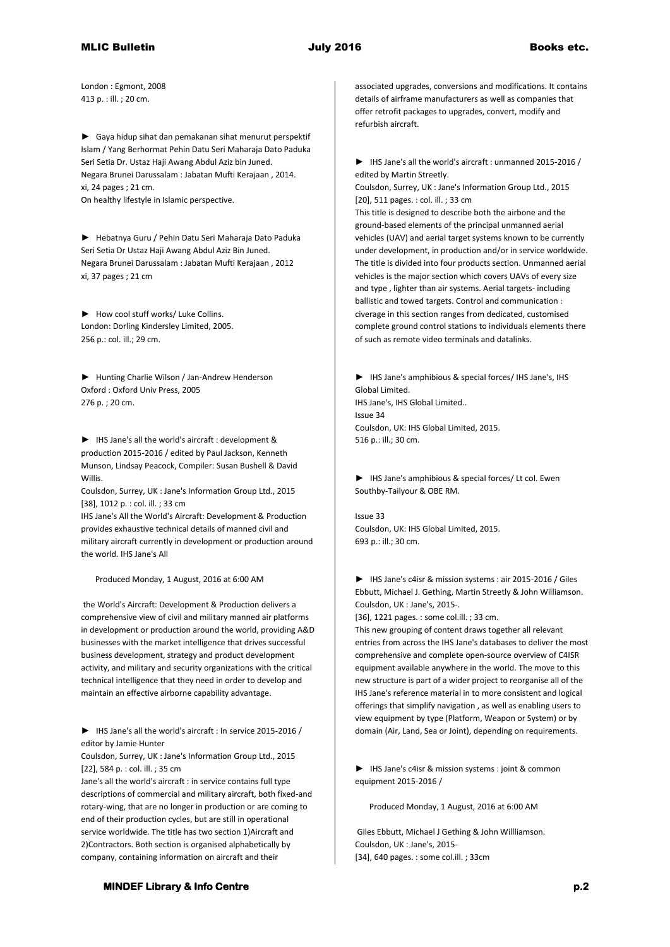London : Egmont, 2008 413 p. : ill. ; 20 cm.

► Gaya hidup sihat dan pemakanan sihat menurut perspektif Islam / Yang Berhormat Pehin Datu Seri Maharaja Dato Paduka Seri Setia Dr. Ustaz Haji Awang Abdul Aziz bin Juned. Negara Brunei Darussalam : Jabatan Mufti Kerajaan , 2014. xi, 24 pages ; 21 cm. On healthy lifestyle in Islamic perspective.

► Hebatnya Guru / Pehin Datu Seri Maharaja Dato Paduka Seri Setia Dr Ustaz Haji Awang Abdul Aziz Bin Juned. Negara Brunei Darussalam : Jabatan Mufti Kerajaan , 2012 xi, 37 pages ; 21 cm

► How cool stuff works/ Luke Collins. London: Dorling Kindersley Limited, 2005. 256 p.: col. ill.; 29 cm.

► Hunting Charlie Wilson / Jan-Andrew Henderson Oxford : Oxford Univ Press, 2005 276 p. ; 20 cm.

► IHS Jane's all the world's aircraft : development & production 2015-2016 / edited by Paul Jackson, Kenneth Munson, Lindsay Peacock, Compiler: Susan Bushell & David Willis.

Coulsdon, Surrey, UK : Jane's Information Group Ltd., 2015 [38], 1012 p. : col. ill. ; 33 cm

IHS Jane's All the World's Aircraft: Development & Production provides exhaustive technical details of manned civil and military aircraft currently in development or production around the world. IHS Jane's All

Produced Monday, 1 August, 2016 at 6:00 AM

the World's Aircraft: Development & Production delivers a comprehensive view of civil and military manned air platforms in development or production around the world, providing A&D businesses with the market intelligence that drives successful business development, strategy and product development activity, and military and security organizations with the critical technical intelligence that they need in order to develop and maintain an effective airborne capability advantage.

► IHS Jane's all the world's aircraft : In service 2015-2016 / editor by Jamie Hunter

Coulsdon, Surrey, UK : Jane's Information Group Ltd., 2015 [22], 584 p. : col. ill. ; 35 cm

Jane's all the world's aircraft : in service contains full type descriptions of commercial and military aircraft, both fixed-and rotary-wing, that are no longer in production or are coming to end of their production cycles, but are still in operational service worldwide. The title has two section 1)Aircraft and 2)Contractors. Both section is organised alphabetically by company, containing information on aircraft and their

associated upgrades, conversions and modifications. It contains details of airframe manufacturers as well as companies that offer retrofit packages to upgrades, convert, modify and refurbish aircraft.

► IHS Jane's all the world's aircraft : unmanned 2015-2016 / edited by Martin Streetly.

Coulsdon, Surrey, UK : Jane's Information Group Ltd., 2015 [20], 511 pages. : col. ill. ; 33 cm

This title is designed to describe both the airbone and the ground-based elements of the principal unmanned aerial vehicles (UAV) and aerial target systems known to be currently under development, in production and/or in service worldwide. The title is divided into four products section. Unmanned aerial vehicles is the major section which covers UAVs of every size and type , lighter than air systems. Aerial targets- including ballistic and towed targets. Control and communication : civerage in this section ranges from dedicated, customised complete ground control stations to individuals elements there of such as remote video terminals and datalinks.

► IHS Jane's amphibious & special forces/ IHS Jane's, IHS Global Limited. IHS Jane's, IHS Global Limited.. Issue 34 Coulsdon, UK: IHS Global Limited, 2015. 516 p.: ill.; 30 cm.

► IHS Jane's amphibious & special forces/ Lt col. Ewen Southby-Tailyour & OBE RM.

Issue 33 Coulsdon, UK: IHS Global Limited, 2015. 693 p.: ill.; 30 cm.

► IHS Jane's c4isr & mission systems : air 2015-2016 / Giles Ebbutt, Michael J. Gething, Martin Streetly & John Williamson. Coulsdon, UK : Jane's, 2015-.

[36], 1221 pages. : some col.ill. ; 33 cm.

This new grouping of content draws together all relevant entries from across the IHS Jane's databases to deliver the most comprehensive and complete open-source overview of C4ISR equipment available anywhere in the world. The move to this new structure is part of a wider project to reorganise all of the IHS Jane's reference material in to more consistent and logical offerings that simplify navigation , as well as enabling users to view equipment by type (Platform, Weapon or System) or by domain (Air, Land, Sea or Joint), depending on requirements.

► IHS Jane's c4isr & mission systems : joint & common equipment 2015-2016 /

Produced Monday, 1 August, 2016 at 6:00 AM

Giles Ebbutt, Michael J Gething & John Willliamson. Coulsdon, UK : Jane's, 2015- [34], 640 pages. : some col.ill. ; 33cm

**MINDEF Library & Info Centre p.2 p.2**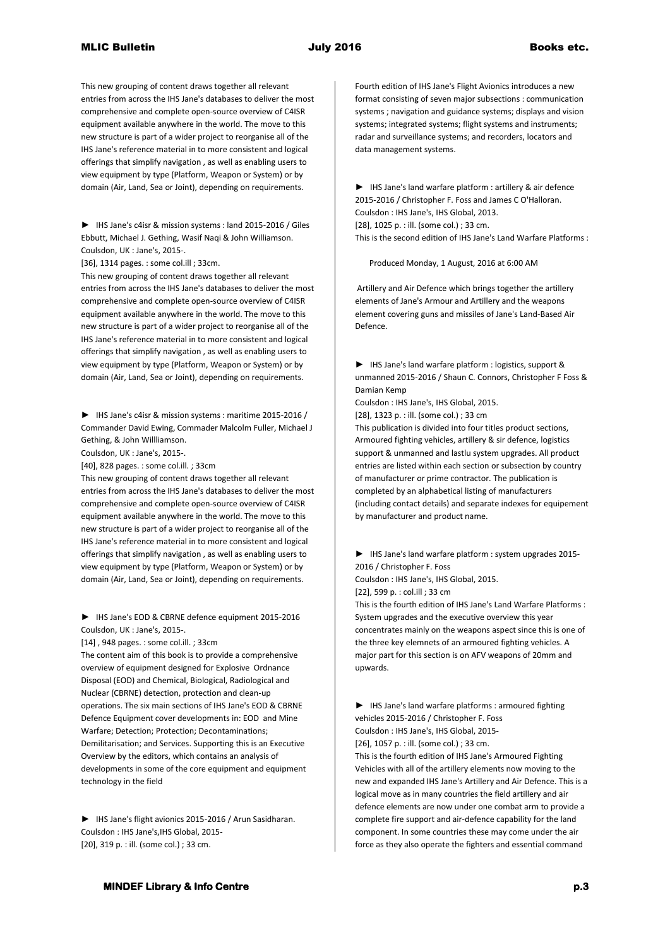This new grouping of content draws together all relevant entries from across the IHS Jane's databases to deliver the most comprehensive and complete open-source overview of C4ISR equipment available anywhere in the world. The move to this new structure is part of a wider project to reorganise all of the IHS Jane's reference material in to more consistent and logical offerings that simplify navigation , as well as enabling users to view equipment by type (Platform, Weapon or System) or by domain (Air, Land, Sea or Joint), depending on requirements.

► IHS Jane's c4isr & mission systems : land 2015-2016 / Giles Ebbutt, Michael J. Gething, Wasif Naqi & John Williamson. Coulsdon, UK : Jane's, 2015-.

[36], 1314 pages. : some col.ill ; 33cm.

This new grouping of content draws together all relevant entries from across the IHS Jane's databases to deliver the most comprehensive and complete open-source overview of C4ISR equipment available anywhere in the world. The move to this new structure is part of a wider project to reorganise all of the IHS Jane's reference material in to more consistent and logical offerings that simplify navigation , as well as enabling users to view equipment by type (Platform, Weapon or System) or by domain (Air, Land, Sea or Joint), depending on requirements.

► IHS Jane's c4isr & mission systems : maritime 2015-2016 / Commander David Ewing, Commader Malcolm Fuller, Michael J Gething, & John Willliamson.

Coulsdon, UK : Jane's, 2015-.

[40], 828 pages. : some col.ill. ; 33cm

This new grouping of content draws together all relevant entries from across the IHS Jane's databases to deliver the most comprehensive and complete open-source overview of C4ISR equipment available anywhere in the world. The move to this new structure is part of a wider project to reorganise all of the IHS Jane's reference material in to more consistent and logical offerings that simplify navigation , as well as enabling users to view equipment by type (Platform, Weapon or System) or by domain (Air, Land, Sea or Joint), depending on requirements.

► IHS Jane's EOD & CBRNE defence equipment 2015-2016 Coulsdon, UK : Jane's, 2015-.

[14] , 948 pages. : some col.ill. ; 33cm

The content aim of this book is to provide a comprehensive overview of equipment designed for Explosive Ordnance Disposal (EOD) and Chemical, Biological, Radiological and Nuclear (CBRNE) detection, protection and clean-up operations. The six main sections of IHS Jane's EOD & CBRNE Defence Equipment cover developments in: EOD and Mine Warfare; Detection; Protection; Decontaminations; Demilitarisation; and Services. Supporting this is an Executive Overview by the editors, which contains an analysis of developments in some of the core equipment and equipment technology in the field

► IHS Jane's flight avionics 2015-2016 / Arun Sasidharan. Coulsdon : IHS Jane's,IHS Global, 2015- [20], 319 p. : ill. (some col.) ; 33 cm.

Fourth edition of IHS Jane's Flight Avionics introduces a new format consisting of seven major subsections : communication systems ; navigation and guidance systems; displays and vision systems; integrated systems; flight systems and instruments; radar and surveillance systems; and recorders, locators and data management systems.

► IHS Jane's land warfare platform : artillery & air defence 2015-2016 / Christopher F. Foss and James C O'Halloran. Coulsdon : IHS Jane's, IHS Global, 2013. [28], 1025 p. : ill. (some col.) ; 33 cm. This is the second edition of IHS Jane's Land Warfare Platforms :

Produced Monday, 1 August, 2016 at 6:00 AM

Artillery and Air Defence which brings together the artillery elements of Jane's Armour and Artillery and the weapons element covering guns and missiles of Jane's Land-Based Air Defence.

► IHS Jane's land warfare platform : logistics, support & unmanned 2015-2016 / Shaun C. Connors, Christopher F Foss & Damian Kemp

Coulsdon : IHS Jane's, IHS Global, 2015.

[28], 1323 p. : ill. (some col.) ; 33 cm

This publication is divided into four titles product sections, Armoured fighting vehicles, artillery & sir defence, logistics support & unmanned and lastlu system upgrades. All product entries are listed within each section or subsection by country of manufacturer or prime contractor. The publication is completed by an alphabetical listing of manufacturers (including contact details) and separate indexes for equipement by manufacturer and product name.

► IHS Jane's land warfare platform : system upgrades 2015- 2016 / Christopher F. Foss Coulsdon : IHS Jane's, IHS Global, 2015.

[22], 599 p. : col.ill ; 33 cm

This is the fourth edition of IHS Jane's Land Warfare Platforms : System upgrades and the executive overview this year concentrates mainly on the weapons aspect since this is one of the three key elemnets of an armoured fighting vehicles. A major part for this section is on AFV weapons of 20mm and upwards.

► IHS Jane's land warfare platforms : armoured fighting vehicles 2015-2016 / Christopher F. Foss Coulsdon : IHS Jane's, IHS Global, 2015- [26], 1057 p. : ill. (some col.) ; 33 cm.

This is the fourth edition of IHS Jane's Armoured Fighting Vehicles with all of the artillery elements now moving to the new and expanded IHS Jane's Artillery and Air Defence. This is a logical move as in many countries the field artillery and air defence elements are now under one combat arm to provide a complete fire support and air-defence capability for the land component. In some countries these may come under the air force as they also operate the fighters and essential command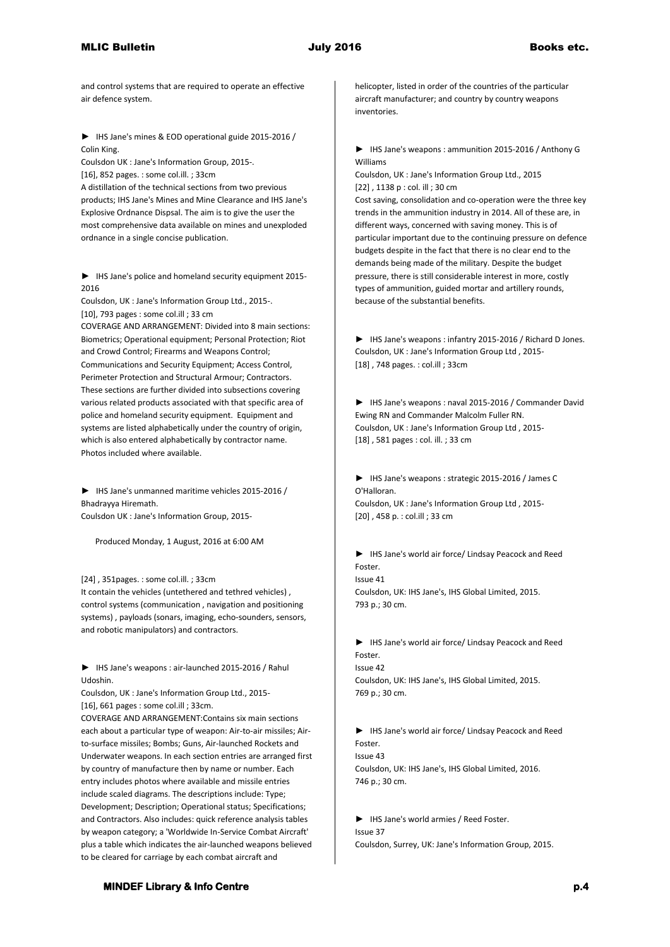and control systems that are required to operate an effective air defence system.

► IHS Jane's mines & EOD operational guide 2015-2016 / Colin King.

Coulsdon UK : Jane's Information Group, 2015-. [16], 852 pages. : some col.ill. ; 33cm A distillation of the technical sections from two previous products; IHS Jane's Mines and Mine Clearance and IHS Jane's Explosive Ordnance Dispsal. The aim is to give the user the most comprehensive data available on mines and unexploded ordnance in a single concise publication.

► IHS Jane's police and homeland security equipment 2015- 2016

Coulsdon, UK : Jane's Information Group Ltd., 2015-. [10], 793 pages : some col.ill ; 33 cm

COVERAGE AND ARRANGEMENT: Divided into 8 main sections: Biometrics; Operational equipment; Personal Protection; Riot and Crowd Control; Firearms and Weapons Control; Communications and Security Equipment; Access Control, Perimeter Protection and Structural Armour; Contractors. These sections are further divided into subsections covering various related products associated with that specific area of police and homeland security equipment. Equipment and systems are listed alphabetically under the country of origin, which is also entered alphabetically by contractor name. Photos included where available.

► IHS Jane's unmanned maritime vehicles 2015-2016 / Bhadrayya Hiremath.

Coulsdon UK : Jane's Information Group, 2015-

Produced Monday, 1 August, 2016 at 6:00 AM

[24] , 351pages. : some col.ill. ; 33cm

It contain the vehicles (untethered and tethred vehicles) , control systems (communication , navigation and positioning systems) , payloads (sonars, imaging, echo-sounders, sensors, and robotic manipulators) and contractors.

► IHS Jane's weapons : air-launched 2015-2016 / Rahul Udoshin.

Coulsdon, UK : Jane's Information Group Ltd., 2015- [16], 661 pages : some col.ill ; 33cm.

COVERAGE AND ARRANGEMENT:Contains six main sections each about a particular type of weapon: Air-to-air missiles; Airto-surface missiles; Bombs; Guns, Air-launched Rockets and Underwater weapons. In each section entries are arranged first by country of manufacture then by name or number. Each entry includes photos where available and missile entries include scaled diagrams. The descriptions include: Type; Development; Description; Operational status; Specifications; and Contractors. Also includes: quick reference analysis tables by weapon category; a 'Worldwide In-Service Combat Aircraft' plus a table which indicates the air-launched weapons believed to be cleared for carriage by each combat aircraft and

helicopter, listed in order of the countries of the particular aircraft manufacturer; and country by country weapons inventories.

► IHS Jane's weapons : ammunition 2015-2016 / Anthony G Williams

Coulsdon, UK : Jane's Information Group Ltd., 2015 [22] , 1138 p : col. ill ; 30 cm

Cost saving, consolidation and co-operation were the three key trends in the ammunition industry in 2014. All of these are, in different ways, concerned with saving money. This is of particular important due to the continuing pressure on defence budgets despite in the fact that there is no clear end to the demands being made of the military. Despite the budget pressure, there is still considerable interest in more, costly types of ammunition, guided mortar and artillery rounds, because of the substantial benefits.

► IHS Jane's weapons : infantry 2015-2016 / Richard D Jones. Coulsdon, UK : Jane's Information Group Ltd , 2015- [18] , 748 pages. : col.ill ; 33cm

► IHS Jane's weapons : naval 2015-2016 / Commander David Ewing RN and Commander Malcolm Fuller RN. Coulsdon, UK : Jane's Information Group Ltd , 2015- [18] , 581 pages : col. ill. ; 33 cm

► IHS Jane's weapons : strategic 2015-2016 / James C O'Halloran. Coulsdon, UK : Jane's Information Group Ltd , 2015- [20] , 458 p. : col.ill ; 33 cm

► IHS Jane's world air force/ Lindsay Peacock and Reed Foster. Issue 41 Coulsdon, UK: IHS Jane's, IHS Global Limited, 2015. 793 p.; 30 cm.

► IHS Jane's world air force/ Lindsay Peacock and Reed Foster. Issue 42 Coulsdon, UK: IHS Jane's, IHS Global Limited, 2015. 769 p.; 30 cm.

► IHS Jane's world air force/ Lindsay Peacock and Reed Foster. Issue 43 Coulsdon, UK: IHS Jane's, IHS Global Limited, 2016. 746 p.; 30 cm.

► IHS Jane's world armies / Reed Foster. Issue 37 Coulsdon, Surrey, UK: Jane's Information Group, 2015.

## **MINDEF Library & Info Centre p.4 p.4**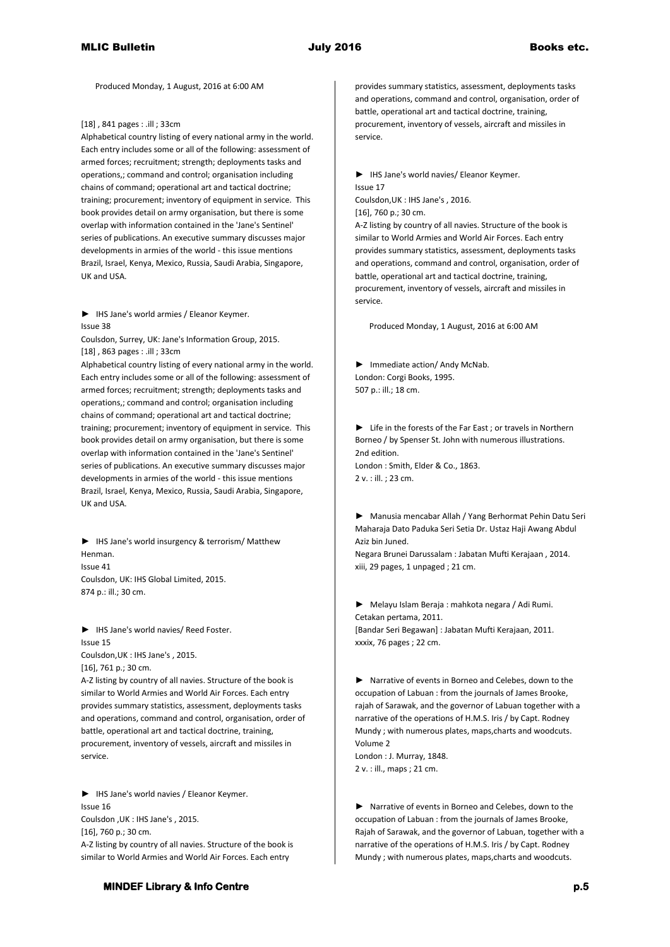Produced Monday, 1 August, 2016 at 6:00 AM

[18] , 841 pages : .ill ; 33cm

Alphabetical country listing of every national army in the world. Each entry includes some or all of the following: assessment of armed forces; recruitment; strength; deployments tasks and operations,; command and control; organisation including chains of command; operational art and tactical doctrine; training; procurement; inventory of equipment in service. This book provides detail on army organisation, but there is some overlap with information contained in the 'Jane's Sentinel' series of publications. An executive summary discusses major developments in armies of the world - this issue mentions Brazil, Israel, Kenya, Mexico, Russia, Saudi Arabia, Singapore, UK and USA.

► IHS Jane's world armies / Eleanor Keymer. Issue 38

Coulsdon, Surrey, UK: Jane's Information Group, 2015. [18] , 863 pages : .ill ; 33cm

Alphabetical country listing of every national army in the world. Each entry includes some or all of the following: assessment of armed forces; recruitment; strength; deployments tasks and operations,; command and control; organisation including chains of command; operational art and tactical doctrine; training; procurement; inventory of equipment in service. This book provides detail on army organisation, but there is some overlap with information contained in the 'Jane's Sentinel' series of publications. An executive summary discusses major developments in armies of the world - this issue mentions Brazil, Israel, Kenya, Mexico, Russia, Saudi Arabia, Singapore, UK and USA.

► IHS Jane's world insurgency & terrorism/ Matthew Henman. Issue 41 Coulsdon, UK: IHS Global Limited, 2015. 874 p.: ill.; 30 cm.

► IHS Jane's world navies/ Reed Foster. Issue 15 Coulsdon,UK : IHS Jane's , 2015. [16], 761 p.; 30 cm.

A-Z listing by country of all navies. Structure of the book is similar to World Armies and World Air Forces. Each entry provides summary statistics, assessment, deployments tasks and operations, command and control, organisation, order of battle, operational art and tactical doctrine, training, procurement, inventory of vessels, aircraft and missiles in service.

► IHS Jane's world navies / Eleanor Keymer. Issue 16 Coulsdon ,UK : IHS Jane's , 2015. [16], 760 p.; 30 cm. A-Z listing by country of all navies. Structure of the book is similar to World Armies and World Air Forces. Each entry

**MINDEF Library & Info Centre p.5 p.5** 

provides summary statistics, assessment, deployments tasks and operations, command and control, organisation, order of battle, operational art and tactical doctrine, training, procurement, inventory of vessels, aircraft and missiles in service.

► IHS Jane's world navies/ Eleanor Keymer. Issue 17 Coulsdon,UK : IHS Jane's , 2016. [16], 760 p.; 30 cm. A-Z listing by country of all navies. Structure of the book is similar to World Armies and World Air Forces. Each entry provides summary statistics, assessment, deployments tasks and operations, command and control, organisation, order of battle, operational art and tactical doctrine, training,

procurement, inventory of vessels, aircraft and missiles in service.

Produced Monday, 1 August, 2016 at 6:00 AM

► Immediate action/ Andy McNab. London: Corgi Books, 1995. 507 p.: ill.; 18 cm.

► Life in the forests of the Far East ; or travels in Northern Borneo / by Spenser St. John with numerous illustrations. 2nd edition. London : Smith, Elder & Co., 1863. 2 v. : ill. ; 23 cm.

► Manusia mencabar Allah / Yang Berhormat Pehin Datu Seri Maharaja Dato Paduka Seri Setia Dr. Ustaz Haji Awang Abdul Aziz bin Juned.

Negara Brunei Darussalam : Jabatan Mufti Kerajaan , 2014. xiii, 29 pages, 1 unpaged ; 21 cm.

► Melayu Islam Beraja : mahkota negara / Adi Rumi. Cetakan pertama, 2011. [Bandar Seri Begawan] : Jabatan Mufti Kerajaan, 2011. xxxix, 76 pages ; 22 cm.

► Narrative of events in Borneo and Celebes, down to the occupation of Labuan : from the journals of James Brooke, rajah of Sarawak, and the governor of Labuan together with a narrative of the operations of H.M.S. Iris / by Capt. Rodney Mundy ; with numerous plates, maps,charts and woodcuts. Volume 2

London : J. Murray, 1848. 2 v. : ill., maps ; 21 cm.

► Narrative of events in Borneo and Celebes, down to the occupation of Labuan : from the journals of James Brooke, Rajah of Sarawak, and the governor of Labuan, together with a narrative of the operations of H.M.S. Iris / by Capt. Rodney Mundy ; with numerous plates, maps,charts and woodcuts.